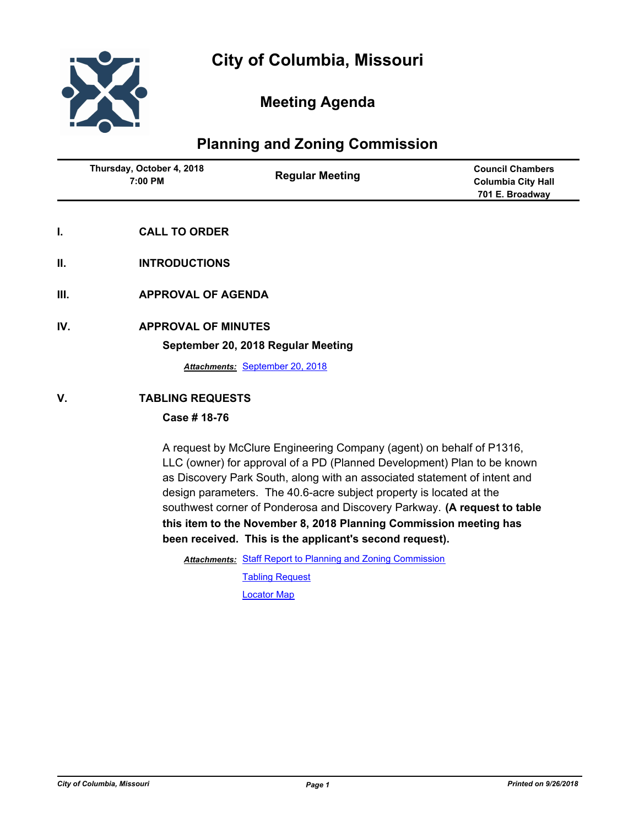

# **Meeting Agenda**

## **Planning and Zoning Commission**

| Thursday, October 4, 2018<br>7:00 PM | <b>Regular Meeting</b> | <b>Council Chambers</b><br><b>Columbia City Hall</b><br>701 E. Broadway |
|--------------------------------------|------------------------|-------------------------------------------------------------------------|
|                                      |                        |                                                                         |

- **I. CALL TO ORDER**
- **II. INTRODUCTIONS**
- **III. APPROVAL OF AGENDA**
- **IV. APPROVAL OF MINUTES**

#### **September 20, 2018 Regular Meeting**

*Attachments:* [September 20, 2018](http://gocolumbiamo.legistar.com/gateway.aspx?M=F&ID=6abe3058-0db3-4751-8247-cb5d90bf235c.docx)

### **V. TABLING REQUESTS**

#### **Case # 18-76**

A request by McClure Engineering Company (agent) on behalf of P1316, LLC (owner) for approval of a PD (Planned Development) Plan to be known as Discovery Park South, along with an associated statement of intent and design parameters. The 40.6-acre subject property is located at the southwest corner of Ponderosa and Discovery Parkway. **(A request to table this item to the November 8, 2018 Planning Commission meeting has been received. This is the applicant's second request).**

Attachments: [Staff Report to Planning and Zoning Commission](http://gocolumbiamo.legistar.com/gateway.aspx?M=F&ID=4cc2c5d1-7ce6-4bbb-9b45-bab96084e18c.docx)

[Tabling Request](http://gocolumbiamo.legistar.com/gateway.aspx?M=F&ID=2265c130-7e08-4d87-bf8d-bc69349f72eb.pdf) [Locator Map](http://gocolumbiamo.legistar.com/gateway.aspx?M=F&ID=d829d53d-04cb-4566-92e8-2c2804afe222.pdf)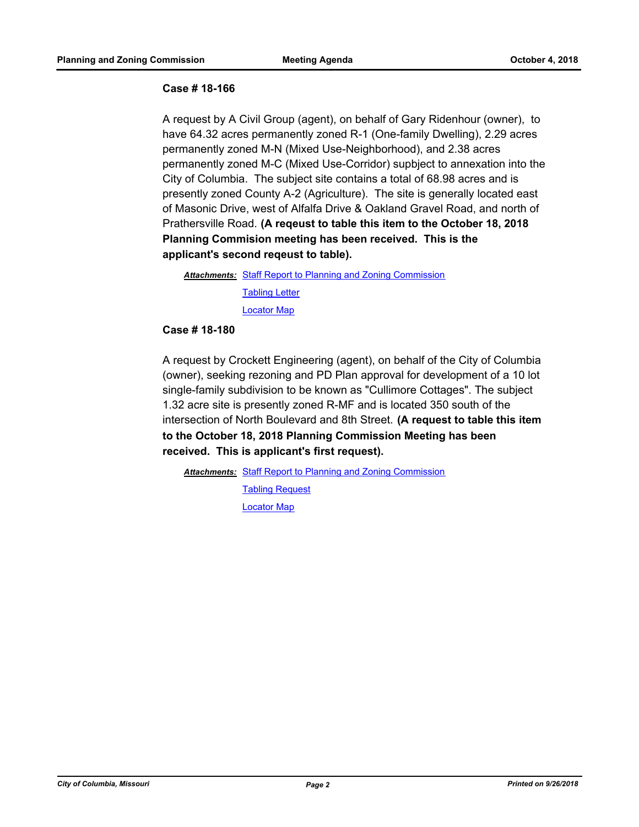#### **Case # 18-166**

A request by A Civil Group (agent), on behalf of Gary Ridenhour (owner), to have 64.32 acres permanently zoned R-1 (One-family Dwelling), 2.29 acres permanently zoned M-N (Mixed Use-Neighborhood), and 2.38 acres permanently zoned M-C (Mixed Use-Corridor) supbject to annexation into the City of Columbia. The subject site contains a total of 68.98 acres and is presently zoned County A-2 (Agriculture). The site is generally located east of Masonic Drive, west of Alfalfa Drive & Oakland Gravel Road, and north of Prathersville Road. **(A reqeust to table this item to the October 18, 2018 Planning Commision meeting has been received. This is the applicant's second reqeust to table).**

Attachments: [Staff Report to Planning and Zoning Commission](http://gocolumbiamo.legistar.com/gateway.aspx?M=F&ID=b18a5117-ea5e-4c2a-8338-658b58b5f4d5.docx) [Tabling Letter](http://gocolumbiamo.legistar.com/gateway.aspx?M=F&ID=2b14d08d-390c-425c-8bdd-563293d6d285.pdf) [Locator Map](http://gocolumbiamo.legistar.com/gateway.aspx?M=F&ID=0a351c9f-e16d-4add-ba0f-59fd2a0c853a.pdf)

#### **Case # 18-180**

A request by Crockett Engineering (agent), on behalf of the City of Columbia (owner), seeking rezoning and PD Plan approval for development of a 10 lot single-family subdivision to be known as "Cullimore Cottages". The subject 1.32 acre site is presently zoned R-MF and is located 350 south of the intersection of North Boulevard and 8th Street. **(A request to table this item to the October 18, 2018 Planning Commission Meeting has been received. This is applicant's first request).**

Attachments: [Staff Report to Planning and Zoning Commission](http://gocolumbiamo.legistar.com/gateway.aspx?M=F&ID=25490004-a67b-4d7a-899a-55f66d1f229e.docx)

[Tabling Request](http://gocolumbiamo.legistar.com/gateway.aspx?M=F&ID=013b8fd1-d22b-4beb-bb88-c2bc61b49678.pdf) [Locator Map](http://gocolumbiamo.legistar.com/gateway.aspx?M=F&ID=593ed8ba-3e22-4f73-931d-75ff38e535f2.pdf)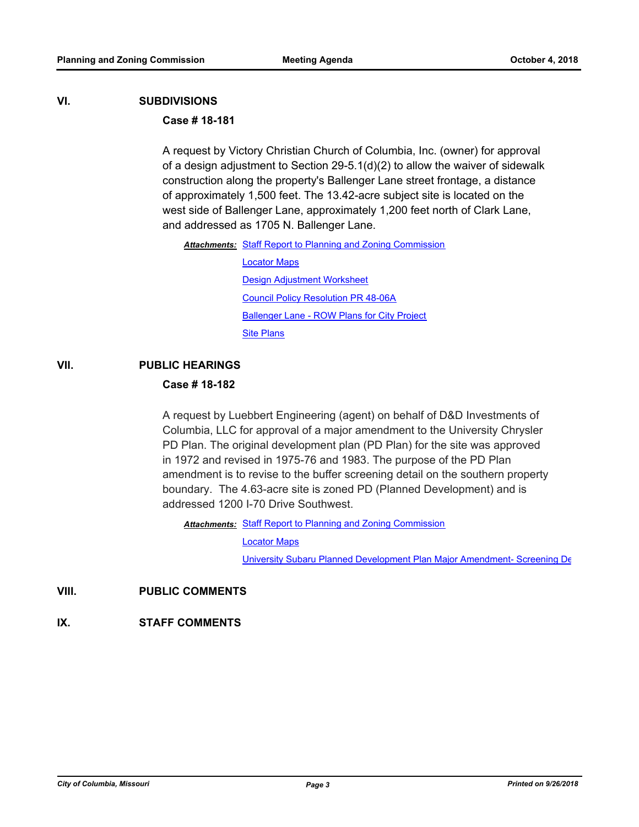#### **VI. SUBDIVISIONS**

#### **Case # 18-181**

A request by Victory Christian Church of Columbia, Inc. (owner) for approval of a design adjustment to Section 29-5.1(d)(2) to allow the waiver of sidewalk construction along the property's Ballenger Lane street frontage, a distance of approximately 1,500 feet. The 13.42-acre subject site is located on the west side of Ballenger Lane, approximately 1,200 feet north of Clark Lane, and addressed as 1705 N. Ballenger Lane.

Attachments: [Staff Report to Planning and Zoning Commission](http://gocolumbiamo.legistar.com/gateway.aspx?M=F&ID=af2d03b5-d238-417e-9e90-247e5378861e.docx)

[Locator Maps](http://gocolumbiamo.legistar.com/gateway.aspx?M=F&ID=a002255f-a02e-4079-9d70-1d356d8df8f4.pdf) [Design Adjustment Worksheet](http://gocolumbiamo.legistar.com/gateway.aspx?M=F&ID=2bdf1fa7-5ba3-4282-87a2-0d7af8f5bdc2.pdf) [Council Policy Resolution PR 48-06A](http://gocolumbiamo.legistar.com/gateway.aspx?M=F&ID=5d029df9-7d12-48c9-8e72-7e474893269e.pdf) [Ballenger Lane - ROW Plans for City Project](http://gocolumbiamo.legistar.com/gateway.aspx?M=F&ID=09fddf2e-7691-4d57-9714-3d65a10b6a44.pdf) [Site Plans](http://gocolumbiamo.legistar.com/gateway.aspx?M=F&ID=8f480f44-2e80-47dd-aa24-40e2f938e2e0.pdf)

### **VII. PUBLIC HEARINGS**

#### **Case # 18-182**

A request by Luebbert Engineering (agent) on behalf of D&D Investments of Columbia, LLC for approval of a major amendment to the University Chrysler PD Plan. The original development plan (PD Plan) for the site was approved in 1972 and revised in 1975-76 and 1983. The purpose of the PD Plan amendment is to revise to the buffer screening detail on the southern property boundary. The 4.63-acre site is zoned PD (Planned Development) and is addressed 1200 I-70 Drive Southwest.

Attachments: [Staff Report to Planning and Zoning Commission](http://gocolumbiamo.legistar.com/gateway.aspx?M=F&ID=1867b93b-fda5-4b0e-bfcc-c14790eab32a.docx)

[Locator Maps](http://gocolumbiamo.legistar.com/gateway.aspx?M=F&ID=be44207f-7725-4ea2-bd6c-e054f646a2bc.pdf)

[University Subaru Planned Development Plan Major Amendment- Screening De](http://gocolumbiamo.legistar.com/gateway.aspx?M=F&ID=ca9c5a5f-55d1-4cfa-86e4-c76f7abc2be3.pdf)

**VIII. PUBLIC COMMENTS**

**IX. STAFF COMMENTS**